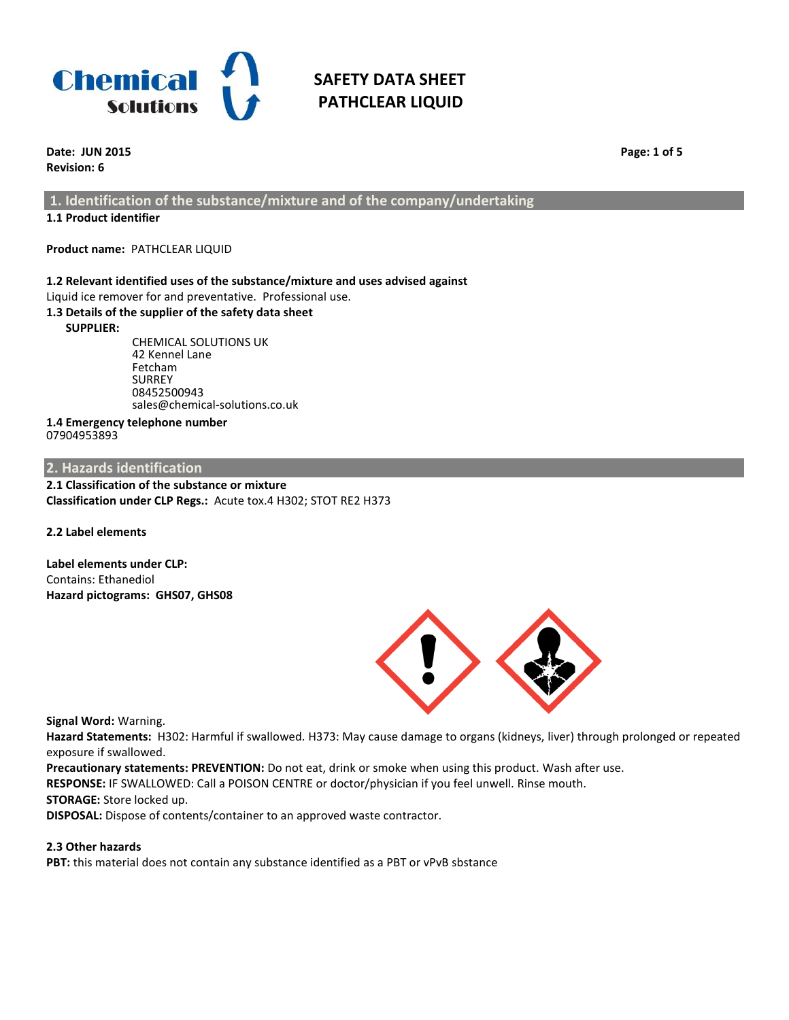

**Date: JUN 2015 Page: 1 of 5 Revision: 6**

**1. Identification of the substance/mixture and of the company/undertaking**

## **1.1 Product identifier**

**Product name:** PATHCLEAR LIQUID

## **1.2 Relevant identified uses of the substance/mixture and uses advised against**

Liquid ice remover for and preventative. Professional use.

## **1.3 Details of the supplier of the safety data sheet**

 **SUPPLIER:** 

CHEMICAL SOLUTIONS UK 42 Kennel Lane Fetcham SURREY 08452500943 sales@chemical-solutions.co.uk

#### **1.4 Emergency telephone number** 07904953893

## **2. Hazards identification**

**2.1 Classification of the substance or mixture Classification under CLP Regs.:** Acute tox.4 H302; STOT RE2 H373

**2.2 Label elements**

**Label elements under CLP:** Contains: Ethanediol **Hazard pictograms: GHS07, GHS08**



**Signal Word:** Warning.

**Hazard Statements:** H302: Harmful if swallowed. H373: May cause damage to organs (kidneys, liver) through prolonged or repeated exposure if swallowed.

**Precautionary statements: PREVENTION:** Do not eat, drink or smoke when using this product. Wash after use.

**RESPONSE:** IF SWALLOWED: Call a POISON CENTRE or doctor/physician if you feel unwell. Rinse mouth.

## **STORAGE:** Store locked up.

**DISPOSAL:** Dispose of contents/container to an approved waste contractor.

## **2.3 Other hazards**

**PBT:** this material does not contain any substance identified as a PBT or vPvB sbstance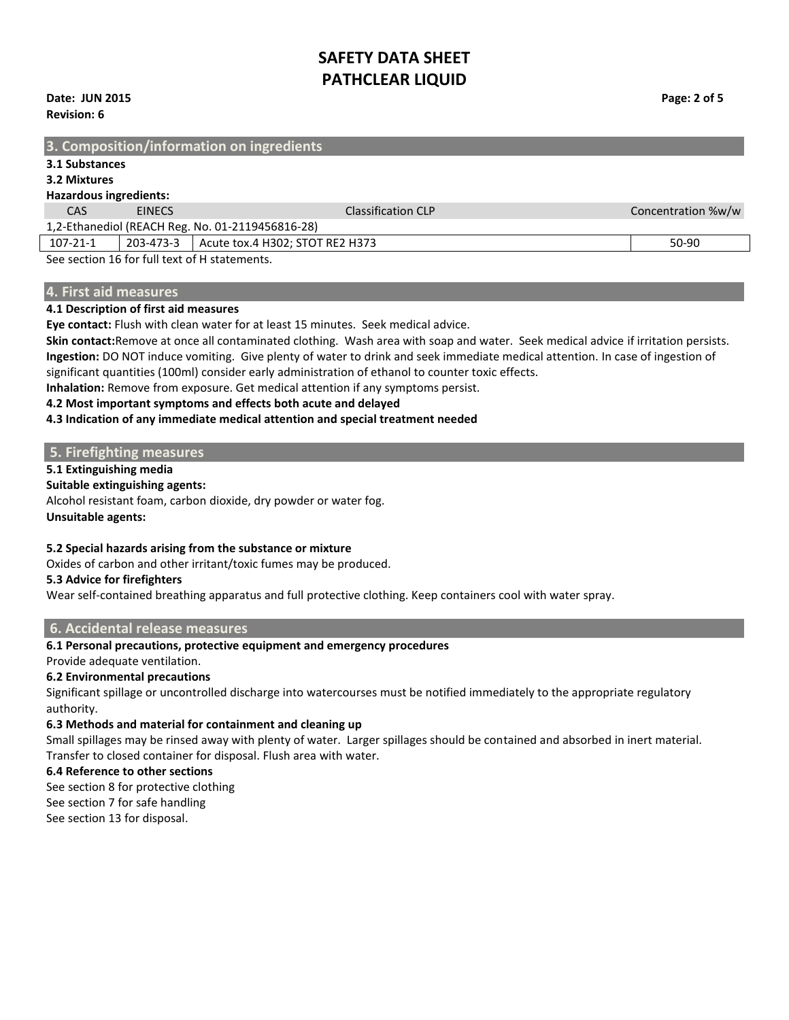**Date: JUN 2015 Page: 2 of 5 Revision: 6**

## **3. Composition/information on ingredients 3.1 Substances 3.2 Mixtures Hazardous ingredients:** CAS EINECS Classification CLP Concentration %w/w 1,2-Ethanediol (REACH Reg. No. 01-2119456816-28) 107-21-1 203-473-3 Acute tox.4 H302; STOT RE2 H373 50-90 See section 16 for full text of H statements.

## **4. First aid measures**

#### **4.1 Description of first aid measures**

**Eye contact:** Flush with clean water for at least 15 minutes. Seek medical advice.

**Skin contact:**Remove at once all contaminated clothing. Wash area with soap and water. Seek medical advice if irritation persists. **Ingestion:** DO NOT induce vomiting. Give plenty of water to drink and seek immediate medical attention. In case of ingestion of significant quantities (100ml) consider early administration of ethanol to counter toxic effects.

**Inhalation:** Remove from exposure. Get medical attention if any symptoms persist.

### **4.2 Most important symptoms and effects both acute and delayed**

### **4.3 Indication of any immediate medical attention and special treatment needed**

### **5. Firefighting measures**

### **5.1 Extinguishing media**

#### **Suitable extinguishing agents:**

Alcohol resistant foam, carbon dioxide, dry powder or water fog. **Unsuitable agents:**

### **5.2 Special hazards arising from the substance or mixture**

Oxides of carbon and other irritant/toxic fumes may be produced.

### **5.3 Advice for firefighters**

Wear self-contained breathing apparatus and full protective clothing. Keep containers cool with water spray.

### **6. Accidental release measures**

## **6.1 Personal precautions, protective equipment and emergency procedures**

Provide adequate ventilation.

## **6.2 Environmental precautions**

Significant spillage or uncontrolled discharge into watercourses must be notified immediately to the appropriate regulatory authority.

### **6.3 Methods and material for containment and cleaning up**

Small spillages may be rinsed away with plenty of water. Larger spillages should be contained and absorbed in inert material. Transfer to closed container for disposal. Flush area with water.

### **6.4 Reference to other sections**

See section 8 for protective clothing

See section 7 for safe handling See section 13 for disposal.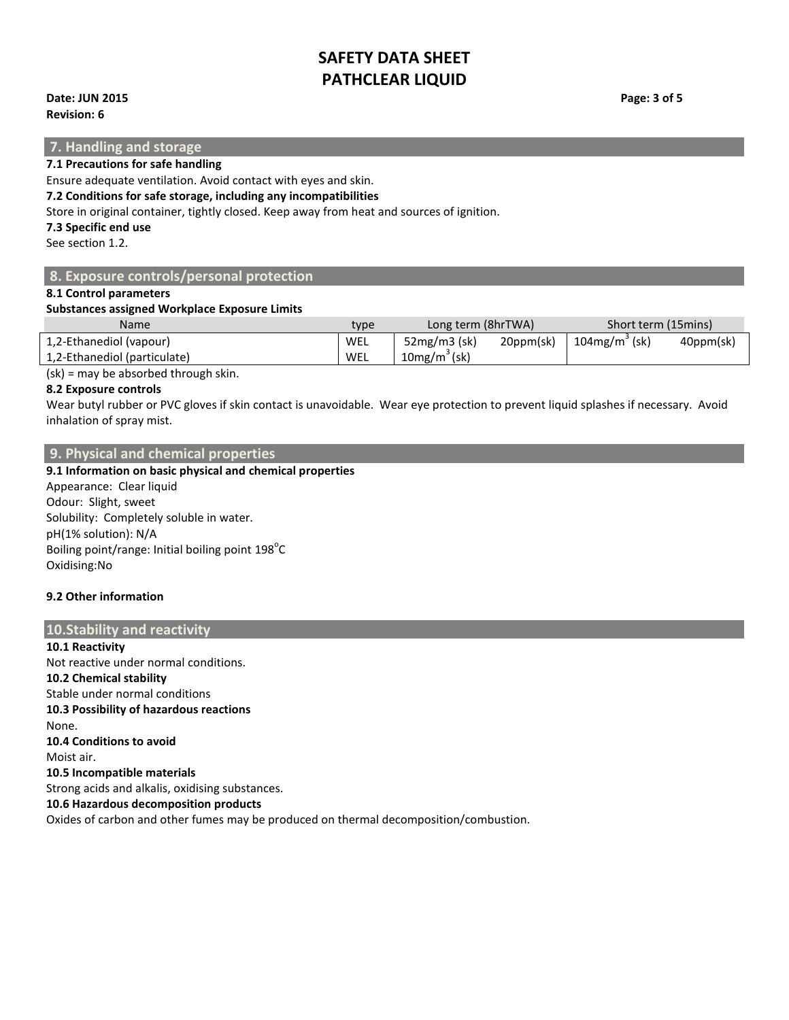## **Date: JUN 2015 Page: 3 of 5**

**Revision: 6**

## **7. Handling and storage**

**7.1 Precautions for safe handling**

Ensure adequate ventilation. Avoid contact with eyes and skin.

### **7.2 Conditions for safe storage, including any incompatibilities**

Store in original container, tightly closed. Keep away from heat and sources of ignition.

### **7.3 Specific end use**

See section 1.2.

## **8. Exposure controls/personal protection**

### **8.1 Control parameters**

### **Substances assigned Workplace Exposure Limits**

| <b>Name</b>                  | type | Long term (8hrTWA) |           | Short term (15mins) |           |
|------------------------------|------|--------------------|-----------|---------------------|-----------|
| 1,2-Ethanediol (vapour)      | WEL  | $52mg/m3$ (sk)     | 20ppm(sk) | $104$ mg/m $3$ (sk) | 40ppm(sk) |
| 1,2-Ethanediol (particulate) | WEL  | $10mg/m3$ (sk)     |           |                     |           |

(sk) = may be absorbed through skin.

## **8.2 Exposure controls**

Wear butyl rubber or PVC gloves if skin contact is unavoidable. Wear eye protection to prevent liquid splashes if necessary. Avoid inhalation of spray mist.

## **9. Physical and chemical properties**

**9.1 Information on basic physical and chemical properties** 

Appearance: Clear liquid Odour: Slight, sweet Solubility: Completely soluble in water. pH(1% solution): N/A Boiling point/range: Initial boiling point  $198^{\circ}$ C Oxidising:No

## **9.2 Other information**

## **10.Stability and reactivity**

**10.1 Reactivity** Not reactive under normal conditions. **10.2 Chemical stability** Stable under normal conditions **10.3 Possibility of hazardous reactions** None. **10.4 Conditions to avoid** Moist air. **10.5 Incompatible materials** Strong acids and alkalis, oxidising substances. **10.6 Hazardous decomposition products** Oxides of carbon and other fumes may be produced on thermal decomposition/combustion.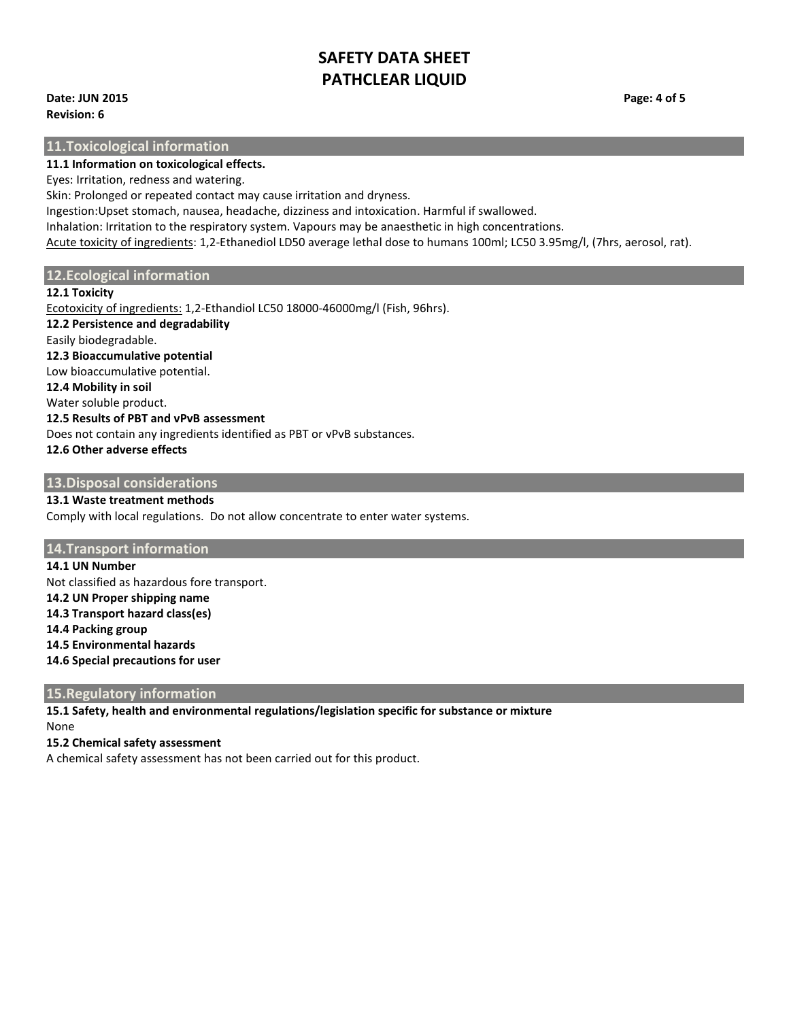**Date: JUN 2015 Page: 4 of 5 Revision: 6**

**11.Toxicological information**

**11.1 Information on toxicological effects.**

Eyes: Irritation, redness and watering.

Skin: Prolonged or repeated contact may cause irritation and dryness.

Ingestion:Upset stomach, nausea, headache, dizziness and intoxication. Harmful if swallowed.

Inhalation: Irritation to the respiratory system. Vapours may be anaesthetic in high concentrations.

Acute toxicity of ingredients: 1,2-Ethanediol LD50 average lethal dose to humans 100ml; LC50 3.95mg/l, (7hrs, aerosol, rat).

## **12.Ecological information**

### **12.1 Toxicity**

Ecotoxicity of ingredients: 1,2-Ethandiol LC50 18000-46000mg/l (Fish, 96hrs). **12.2 Persistence and degradability** Easily biodegradable. **12.3 Bioaccumulative potential** Low bioaccumulative potential. **12.4 Mobility in soil** Water soluble product. **12.5 Results of PBT and vPvB assessment** Does not contain any ingredients identified as PBT or vPvB substances. **12.6 Other adverse effects**

## **13.Disposal considerations**

# **13.1 Waste treatment methods**

Comply with local regulations. Do not allow concentrate to enter water systems.

## **14.Transport information**

**14.1 UN Number** Not classified as hazardous fore transport. **14.2 UN Proper shipping name 14.3 Transport hazard class(es) 14.4 Packing group 14.5 Environmental hazards 14.6 Special precautions for user**

## **15.Regulatory information**

**15.1 Safety, health and environmental regulations/legislation specific for substance or mixture** None

## **15.2 Chemical safety assessment**

A chemical safety assessment has not been carried out for this product.